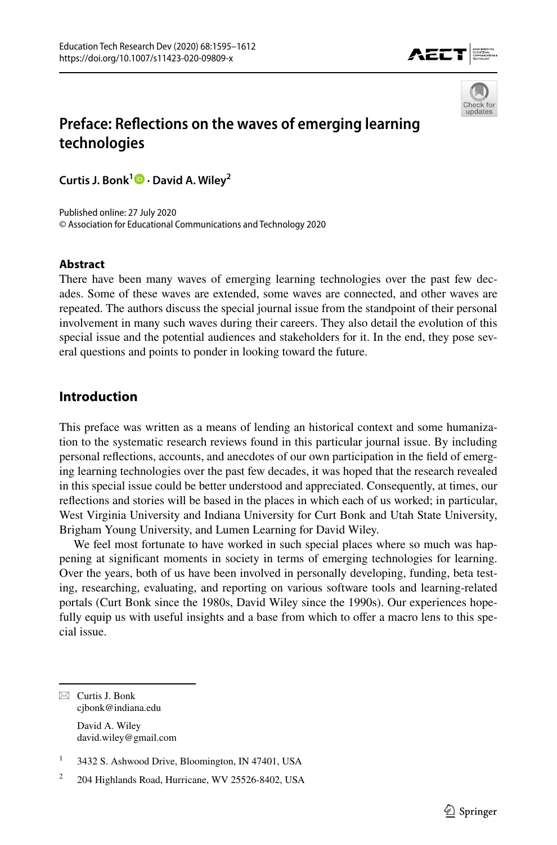



# **Preface: Refections on the waves of emerging learning technologies**

**Curtis J. Bonk1 · David A. Wiley2**

Published online: 27 July 2020 © Association for Educational Communications and Technology 2020

# **Abstract**

There have been many waves of emerging learning technologies over the past few decades. Some of these waves are extended, some waves are connected, and other waves are repeated. The authors discuss the special journal issue from the standpoint of their personal involvement in many such waves during their careers. They also detail the evolution of this special issue and the potential audiences and stakeholders for it. In the end, they pose several questions and points to ponder in looking toward the future.

# **Introduction**

This preface was written as a means of lending an historical context and some humanization to the systematic research reviews found in this particular journal issue. By including personal refections, accounts, and anecdotes of our own participation in the feld of emerging learning technologies over the past few decades, it was hoped that the research revealed in this special issue could be better understood and appreciated. Consequently, at times, our refections and stories will be based in the places in which each of us worked; in particular, West Virginia University and Indiana University for Curt Bonk and Utah State University, Brigham Young University, and Lumen Learning for David Wiley.

We feel most fortunate to have worked in such special places where so much was happening at signifcant moments in society in terms of emerging technologies for learning. Over the years, both of us have been involved in personally developing, funding, beta testing, researching, evaluating, and reporting on various software tools and learning-related portals (Curt Bonk since the 1980s, David Wiley since the 1990s). Our experiences hopefully equip us with useful insights and a base from which to offer a macro lens to this special issue.

 $\boxtimes$  Curtis J. Bonk cjbonk@indiana.edu David A. Wiley david.wiley@gmail.com

<sup>&</sup>lt;sup>1</sup> 3432 S. Ashwood Drive, Bloomington, IN 47401, USA

<sup>2</sup> 204 Highlands Road, Hurricane, WV 25526-8402, USA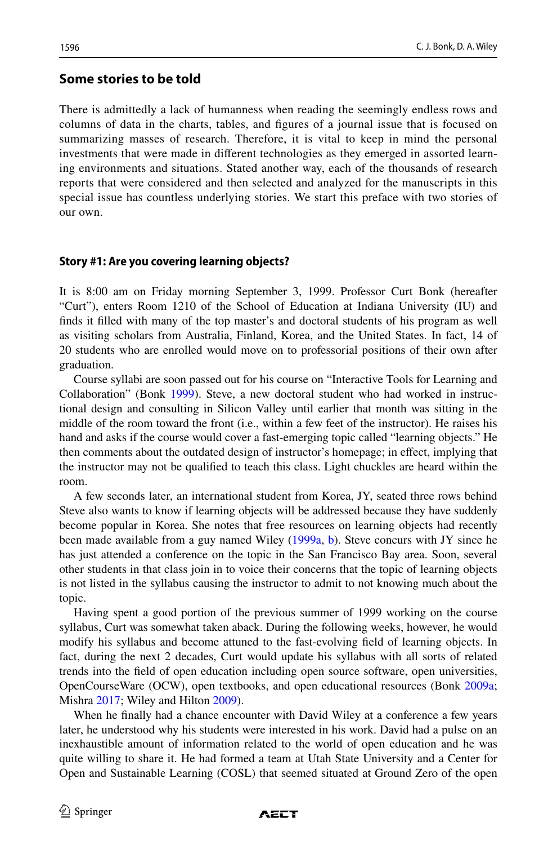# **Some stories to be told**

There is admittedly a lack of humanness when reading the seemingly endless rows and columns of data in the charts, tables, and fgures of a journal issue that is focused on summarizing masses of research. Therefore, it is vital to keep in mind the personal investments that were made in diferent technologies as they emerged in assorted learning environments and situations. Stated another way, each of the thousands of research reports that were considered and then selected and analyzed for the manuscripts in this special issue has countless underlying stories. We start this preface with two stories of our own.

## **Story #1: Are you covering learning objects?**

It is 8:00 am on Friday morning September 3, 1999. Professor Curt Bonk (hereafter "Curt"), enters Room 1210 of the School of Education at Indiana University (IU) and fnds it flled with many of the top master's and doctoral students of his program as well as visiting scholars from Australia, Finland, Korea, and the United States. In fact, 14 of 20 students who are enrolled would move on to professorial positions of their own after graduation.

Course syllabi are soon passed out for his course on "Interactive Tools for Learning and Collaboration" (Bonk [1999](#page-12-0)). Steve, a new doctoral student who had worked in instructional design and consulting in Silicon Valley until earlier that month was sitting in the middle of the room toward the front (i.e., within a few feet of the instructor). He raises his hand and asks if the course would cover a fast-emerging topic called "learning objects." He then comments about the outdated design of instructor's homepage; in efect, implying that the instructor may not be qualifed to teach this class. Light chuckles are heard within the room.

A few seconds later, an international student from Korea, JY, seated three rows behind Steve also wants to know if learning objects will be addressed because they have suddenly become popular in Korea. She notes that free resources on learning objects had recently been made available from a guy named Wiley [\(1999a,](#page-16-0) [b\)](#page-16-1). Steve concurs with JY since he has just attended a conference on the topic in the San Francisco Bay area. Soon, several other students in that class join in to voice their concerns that the topic of learning objects is not listed in the syllabus causing the instructor to admit to not knowing much about the topic.

Having spent a good portion of the previous summer of 1999 working on the course syllabus, Curt was somewhat taken aback. During the following weeks, however, he would modify his syllabus and become attuned to the fast-evolving feld of learning objects. In fact, during the next 2 decades, Curt would update his syllabus with all sorts of related trends into the feld of open education including open source software, open universities, OpenCourseWare (OCW), open textbooks, and open educational resources (Bonk [2009a;](#page-13-0) Mishra [2017](#page-15-0); Wiley and Hilton [2009](#page-16-2)).

When he fnally had a chance encounter with David Wiley at a conference a few years later, he understood why his students were interested in his work. David had a pulse on an inexhaustible amount of information related to the world of open education and he was quite willing to share it. He had formed a team at Utah State University and a Center for Open and Sustainable Learning (COSL) that seemed situated at Ground Zero of the open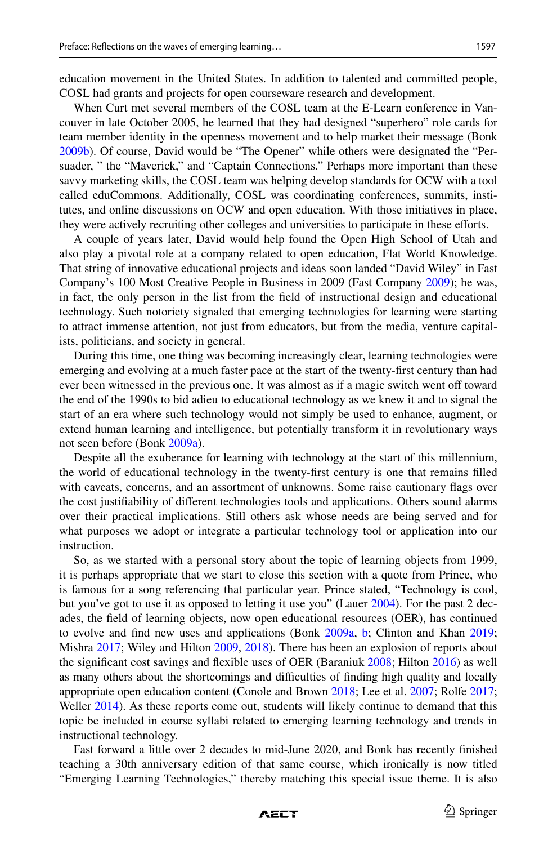education movement in the United States. In addition to talented and committed people, COSL had grants and projects for open courseware research and development.

When Curt met several members of the COSL team at the E-Learn conference in Vancouver in late October 2005, he learned that they had designed "superhero" role cards for team member identity in the openness movement and to help market their message (Bonk [2009b\)](#page-13-1). Of course, David would be "The Opener" while others were designated the "Persuader, " the "Maverick," and "Captain Connections." Perhaps more important than these savvy marketing skills, the COSL team was helping develop standards for OCW with a tool called eduCommons. Additionally, COSL was coordinating conferences, summits, institutes, and online discussions on OCW and open education. With those initiatives in place, they were actively recruiting other colleges and universities to participate in these eforts.

A couple of years later, David would help found the Open High School of Utah and also play a pivotal role at a company related to open education, Flat World Knowledge. That string of innovative educational projects and ideas soon landed "David Wiley" in Fast Company's 100 Most Creative People in Business in 2009 (Fast Company [2009](#page-14-0)); he was, in fact, the only person in the list from the feld of instructional design and educational technology. Such notoriety signaled that emerging technologies for learning were starting to attract immense attention, not just from educators, but from the media, venture capitalists, politicians, and society in general.

During this time, one thing was becoming increasingly clear, learning technologies were emerging and evolving at a much faster pace at the start of the twenty-frst century than had ever been witnessed in the previous one. It was almost as if a magic switch went off toward the end of the 1990s to bid adieu to educational technology as we knew it and to signal the start of an era where such technology would not simply be used to enhance, augment, or extend human learning and intelligence, but potentially transform it in revolutionary ways not seen before (Bonk [2009a](#page-13-0)).

Despite all the exuberance for learning with technology at the start of this millennium, the world of educational technology in the twenty-frst century is one that remains flled with caveats, concerns, and an assortment of unknowns. Some raise cautionary fags over the cost justifability of diferent technologies tools and applications. Others sound alarms over their practical implications. Still others ask whose needs are being served and for what purposes we adopt or integrate a particular technology tool or application into our instruction.

So, as we started with a personal story about the topic of learning objects from 1999, it is perhaps appropriate that we start to close this section with a quote from Prince, who is famous for a song referencing that particular year. Prince stated, "Technology is cool, but you've got to use it as opposed to letting it use you" (Lauer [2004](#page-14-1)). For the past 2 decades, the feld of learning objects, now open educational resources (OER), has continued to evolve and fnd new uses and applications (Bonk [2009a,](#page-13-0) [b](#page-13-1); Clinton and Khan [2019;](#page-13-2) Mishra [2017](#page-15-0); Wiley and Hilton [2009](#page-16-2), [2018](#page-16-3)). There has been an explosion of reports about the signifcant cost savings and fexible uses of OER (Baraniuk [2008](#page-12-1); Hilton [2016](#page-14-2)) as well as many others about the shortcomings and difculties of fnding high quality and locally appropriate open education content (Conole and Brown [2018](#page-13-3); Lee et al. [2007;](#page-15-1) Rolfe [2017](#page-15-2); Weller [2014\)](#page-16-4). As these reports come out, students will likely continue to demand that this topic be included in course syllabi related to emerging learning technology and trends in instructional technology.

Fast forward a little over 2 decades to mid-June 2020, and Bonk has recently fnished teaching a 30th anniversary edition of that same course, which ironically is now titled "Emerging Learning Technologies," thereby matching this special issue theme. It is also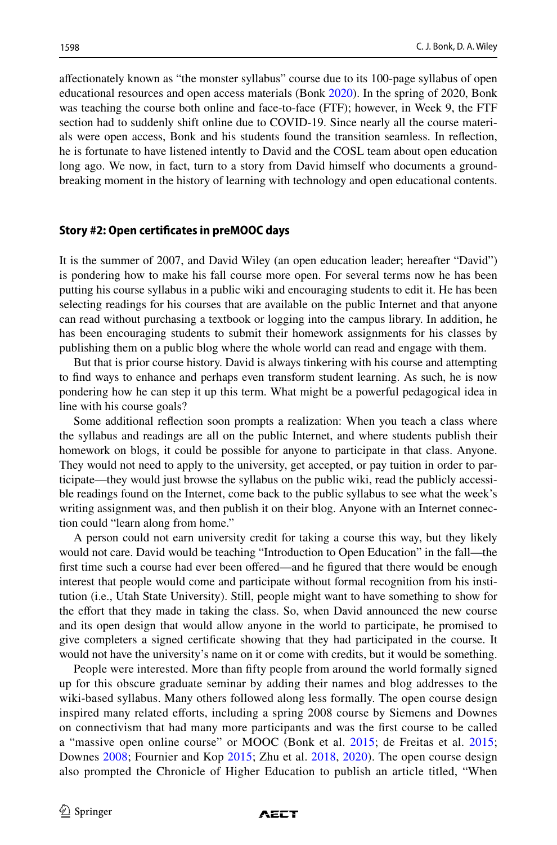afectionately known as "the monster syllabus" course due to its 100-page syllabus of open educational resources and open access materials (Bonk [2020](#page-13-4)). In the spring of 2020, Bonk was teaching the course both online and face-to-face (FTF); however, in Week 9, the FTF section had to suddenly shift online due to COVID-19. Since nearly all the course materials were open access, Bonk and his students found the transition seamless. In refection, he is fortunate to have listened intently to David and the COSL team about open education long ago. We now, in fact, turn to a story from David himself who documents a groundbreaking moment in the history of learning with technology and open educational contents.

#### **Story #2: Open certifcates in preMOOC days**

It is the summer of 2007, and David Wiley (an open education leader; hereafter "David") is pondering how to make his fall course more open. For several terms now he has been putting his course syllabus in a public wiki and encouraging students to edit it. He has been selecting readings for his courses that are available on the public Internet and that anyone can read without purchasing a textbook or logging into the campus library. In addition, he has been encouraging students to submit their homework assignments for his classes by publishing them on a public blog where the whole world can read and engage with them.

But that is prior course history. David is always tinkering with his course and attempting to fnd ways to enhance and perhaps even transform student learning. As such, he is now pondering how he can step it up this term. What might be a powerful pedagogical idea in line with his course goals?

Some additional refection soon prompts a realization: When you teach a class where the syllabus and readings are all on the public Internet, and where students publish their homework on blogs, it could be possible for anyone to participate in that class. Anyone. They would not need to apply to the university, get accepted, or pay tuition in order to participate—they would just browse the syllabus on the public wiki, read the publicly accessible readings found on the Internet, come back to the public syllabus to see what the week's writing assignment was, and then publish it on their blog. Anyone with an Internet connection could "learn along from home."

A person could not earn university credit for taking a course this way, but they likely would not care. David would be teaching "Introduction to Open Education" in the fall—the first time such a course had ever been offered—and he figured that there would be enough interest that people would come and participate without formal recognition from his institution (i.e., Utah State University). Still, people might want to have something to show for the efort that they made in taking the class. So, when David announced the new course and its open design that would allow anyone in the world to participate, he promised to give completers a signed certifcate showing that they had participated in the course. It would not have the university's name on it or come with credits, but it would be something.

People were interested. More than ffty people from around the world formally signed up for this obscure graduate seminar by adding their names and blog addresses to the wiki-based syllabus. Many others followed along less formally. The open course design inspired many related eforts, including a spring 2008 course by Siemens and Downes on connectivism that had many more participants and was the frst course to be called a "massive open online course" or MOOC (Bonk et al. [2015;](#page-13-5) de Freitas et al. [2015;](#page-13-6) Downes [2008;](#page-13-7) Fournier and Kop [2015](#page-14-3); Zhu et al. [2018](#page-16-5), [2020](#page-12-2)). The open course design also prompted the Chronicle of Higher Education to publish an article titled, "When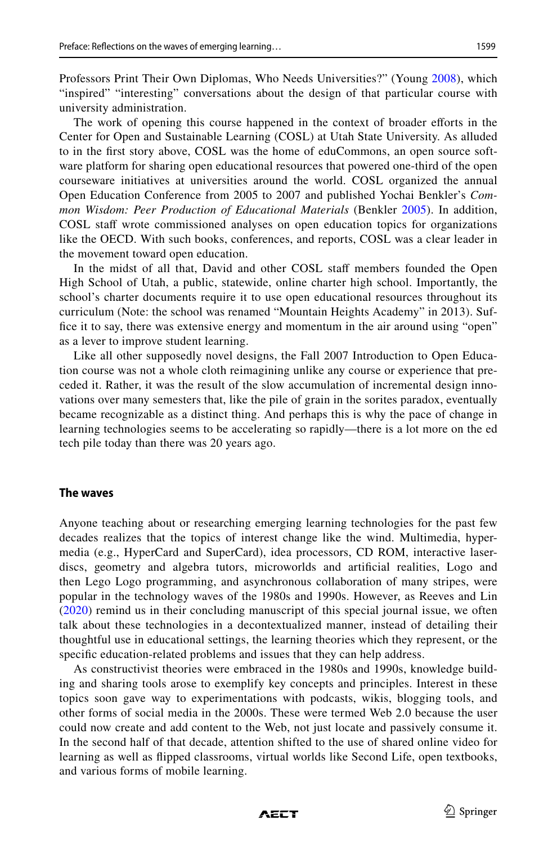Professors Print Their Own Diplomas, Who Needs Universities?" (Young [2008](#page-16-6)), which "inspired" "interesting" conversations about the design of that particular course with university administration.

The work of opening this course happened in the context of broader efforts in the Center for Open and Sustainable Learning (COSL) at Utah State University. As alluded to in the frst story above, COSL was the home of eduCommons, an open source software platform for sharing open educational resources that powered one-third of the open courseware initiatives at universities around the world. COSL organized the annual Open Education Conference from 2005 to 2007 and published Yochai Benkler's *Common Wisdom: Peer Production of Educational Materials* (Benkler [2005\)](#page-12-3). In addition, COSL staf wrote commissioned analyses on open education topics for organizations like the OECD. With such books, conferences, and reports, COSL was a clear leader in the movement toward open education.

In the midst of all that, David and other COSL staff members founded the Open High School of Utah, a public, statewide, online charter high school. Importantly, the school's charter documents require it to use open educational resources throughout its curriculum (Note: the school was renamed "Mountain Heights Academy" in 2013). Suffce it to say, there was extensive energy and momentum in the air around using "open" as a lever to improve student learning.

Like all other supposedly novel designs, the Fall 2007 Introduction to Open Education course was not a whole cloth reimagining unlike any course or experience that preceded it. Rather, it was the result of the slow accumulation of incremental design innovations over many semesters that, like the pile of grain in the sorites paradox, eventually became recognizable as a distinct thing. And perhaps this is why the pace of change in learning technologies seems to be accelerating so rapidly—there is a lot more on the ed tech pile today than there was 20 years ago.

#### **The waves**

Anyone teaching about or researching emerging learning technologies for the past few decades realizes that the topics of interest change like the wind. Multimedia, hypermedia (e.g., HyperCard and SuperCard), idea processors, CD ROM, interactive laserdiscs, geometry and algebra tutors, microworlds and artifcial realities, Logo and then Lego Logo programming, and asynchronous collaboration of many stripes, were popular in the technology waves of the 1980s and 1990s. However, as Reeves and Lin ([2020\)](#page-12-4) remind us in their concluding manuscript of this special journal issue, we often talk about these technologies in a decontextualized manner, instead of detailing their thoughtful use in educational settings, the learning theories which they represent, or the specifc education-related problems and issues that they can help address.

As constructivist theories were embraced in the 1980s and 1990s, knowledge building and sharing tools arose to exemplify key concepts and principles. Interest in these topics soon gave way to experimentations with podcasts, wikis, blogging tools, and other forms of social media in the 2000s. These were termed Web 2.0 because the user could now create and add content to the Web, not just locate and passively consume it. In the second half of that decade, attention shifted to the use of shared online video for learning as well as fipped classrooms, virtual worlds like Second Life, open textbooks, and various forms of mobile learning.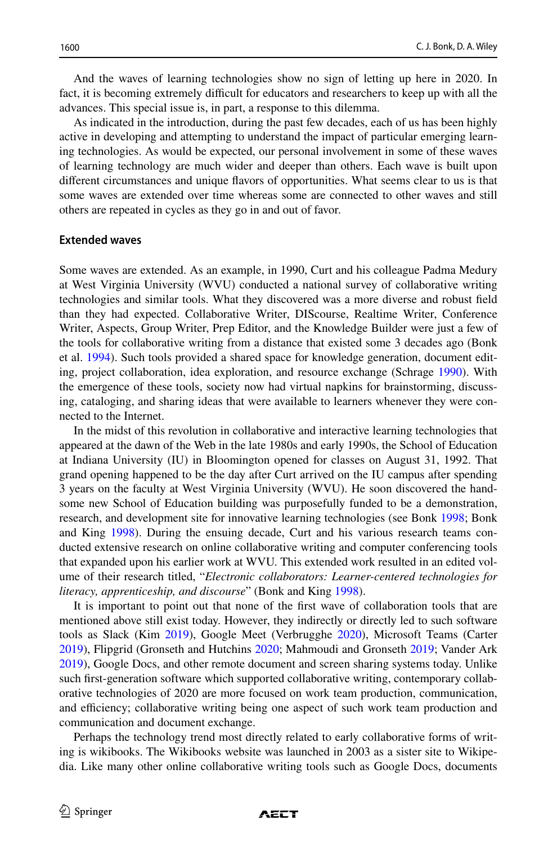And the waves of learning technologies show no sign of letting up here in 2020. In fact, it is becoming extremely difficult for educators and researchers to keep up with all the advances. This special issue is, in part, a response to this dilemma.

As indicated in the introduction, during the past few decades, each of us has been highly active in developing and attempting to understand the impact of particular emerging learning technologies. As would be expected, our personal involvement in some of these waves of learning technology are much wider and deeper than others. Each wave is built upon diferent circumstances and unique favors of opportunities. What seems clear to us is that some waves are extended over time whereas some are connected to other waves and still others are repeated in cycles as they go in and out of favor.

## **Extended waves**

Some waves are extended. As an example, in 1990, Curt and his colleague Padma Medury at West Virginia University (WVU) conducted a national survey of collaborative writing technologies and similar tools. What they discovered was a more diverse and robust feld than they had expected. Collaborative Writer, DIScourse, Realtime Writer, Conference Writer, Aspects, Group Writer, Prep Editor, and the Knowledge Builder were just a few of the tools for collaborative writing from a distance that existed some 3 decades ago (Bonk et al. [1994](#page-13-8)). Such tools provided a shared space for knowledge generation, document editing, project collaboration, idea exploration, and resource exchange (Schrage [1990\)](#page-16-7). With the emergence of these tools, society now had virtual napkins for brainstorming, discussing, cataloging, and sharing ideas that were available to learners whenever they were connected to the Internet.

In the midst of this revolution in collaborative and interactive learning technologies that appeared at the dawn of the Web in the late 1980s and early 1990s, the School of Education at Indiana University (IU) in Bloomington opened for classes on August 31, 1992. That grand opening happened to be the day after Curt arrived on the IU campus after spending 3 years on the faculty at West Virginia University (WVU). He soon discovered the handsome new School of Education building was purposefully funded to be a demonstration, research, and development site for innovative learning technologies (see Bonk [1998;](#page-12-5) Bonk and King [1998](#page-13-9)). During the ensuing decade, Curt and his various research teams conducted extensive research on online collaborative writing and computer conferencing tools that expanded upon his earlier work at WVU. This extended work resulted in an edited volume of their research titled, "*Electronic collaborators: Learner-centered technologies for literacy, apprenticeship, and discourse*" (Bonk and King [1998](#page-13-9)).

It is important to point out that none of the frst wave of collaboration tools that are mentioned above still exist today. However, they indirectly or directly led to such software tools as Slack (Kim [2019](#page-14-4)), Google Meet (Verbrugghe [2020](#page-16-8)), Microsoft Teams (Carter [2019\)](#page-13-10), Flipgrid (Gronseth and Hutchins [2020](#page-14-5); Mahmoudi and Gronseth [2019;](#page-15-3) Vander Ark [2019\)](#page-16-9), Google Docs, and other remote document and screen sharing systems today. Unlike such first-generation software which supported collaborative writing, contemporary collaborative technologies of 2020 are more focused on work team production, communication, and efficiency; collaborative writing being one aspect of such work team production and communication and document exchange.

Perhaps the technology trend most directly related to early collaborative forms of writing is wikibooks. The Wikibooks website was launched in 2003 as a sister site to Wikipedia. Like many other online collaborative writing tools such as Google Docs, documents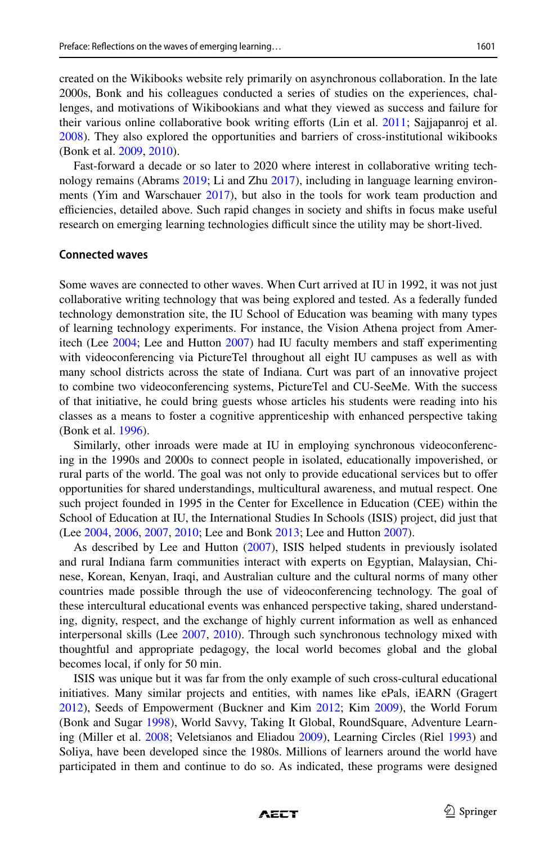created on the Wikibooks website rely primarily on asynchronous collaboration. In the late 2000s, Bonk and his colleagues conducted a series of studies on the experiences, challenges, and motivations of Wikibookians and what they viewed as success and failure for their various online collaborative book writing eforts (Lin et al. [2011;](#page-15-4) Sajjapanroj et al. [2008\)](#page-16-10). They also explored the opportunities and barriers of cross-institutional wikibooks (Bonk et al. [2009,](#page-13-11) [2010](#page-13-12)).

Fast-forward a decade or so later to 2020 where interest in collaborative writing technology remains (Abrams [2019](#page-12-6); Li and Zhu [2017](#page-15-5)), including in language learning environments (Yim and Warschauer [2017\)](#page-16-11), but also in the tools for work team production and efficiencies, detailed above. Such rapid changes in society and shifts in focus make useful research on emerging learning technologies difficult since the utility may be short-lived.

## **Connected waves**

Some waves are connected to other waves. When Curt arrived at IU in 1992, it was not just collaborative writing technology that was being explored and tested. As a federally funded technology demonstration site, the IU School of Education was beaming with many types of learning technology experiments. For instance, the Vision Athena project from Ameritech (Lee [2004](#page-14-6); Lee and Hutton [2007](#page-15-6)) had IU faculty members and staf experimenting with videoconferencing via PictureTel throughout all eight IU campuses as well as with many school districts across the state of Indiana. Curt was part of an innovative project to combine two videoconferencing systems, PictureTel and CU-SeeMe. With the success of that initiative, he could bring guests whose articles his students were reading into his classes as a means to foster a cognitive apprenticeship with enhanced perspective taking (Bonk et al. [1996\)](#page-13-13).

Similarly, other inroads were made at IU in employing synchronous videoconferencing in the 1990s and 2000s to connect people in isolated, educationally impoverished, or rural parts of the world. The goal was not only to provide educational services but to ofer opportunities for shared understandings, multicultural awareness, and mutual respect. One such project founded in 1995 in the Center for Excellence in Education (CEE) within the School of Education at IU, the International Studies In Schools (ISIS) project, did just that (Lee [2004,](#page-14-6) [2006](#page-14-7), [2007](#page-15-7), [2010;](#page-15-8) Lee and Bonk [2013](#page-15-9); Lee and Hutton [2007\)](#page-15-6).

As described by Lee and Hutton [\(2007](#page-15-6)), ISIS helped students in previously isolated and rural Indiana farm communities interact with experts on Egyptian, Malaysian, Chinese, Korean, Kenyan, Iraqi, and Australian culture and the cultural norms of many other countries made possible through the use of videoconferencing technology. The goal of these intercultural educational events was enhanced perspective taking, shared understanding, dignity, respect, and the exchange of highly current information as well as enhanced interpersonal skills (Lee [2007,](#page-15-7) [2010](#page-15-8)). Through such synchronous technology mixed with thoughtful and appropriate pedagogy, the local world becomes global and the global becomes local, if only for 50 min.

ISIS was unique but it was far from the only example of such cross-cultural educational initiatives. Many similar projects and entities, with names like ePals, iEARN (Gragert [2012\)](#page-14-8), Seeds of Empowerment (Buckner and Kim [2012;](#page-13-14) Kim [2009\)](#page-14-9), the World Forum (Bonk and Sugar [1998](#page-13-15)), World Savvy, Taking It Global, RoundSquare, Adventure Learning (Miller et al. [2008;](#page-15-10) Veletsianos and Eliadou [2009\)](#page-16-12), Learning Circles (Riel [1993\)](#page-15-11) and Soliya, have been developed since the 1980s. Millions of learners around the world have participated in them and continue to do so. As indicated, these programs were designed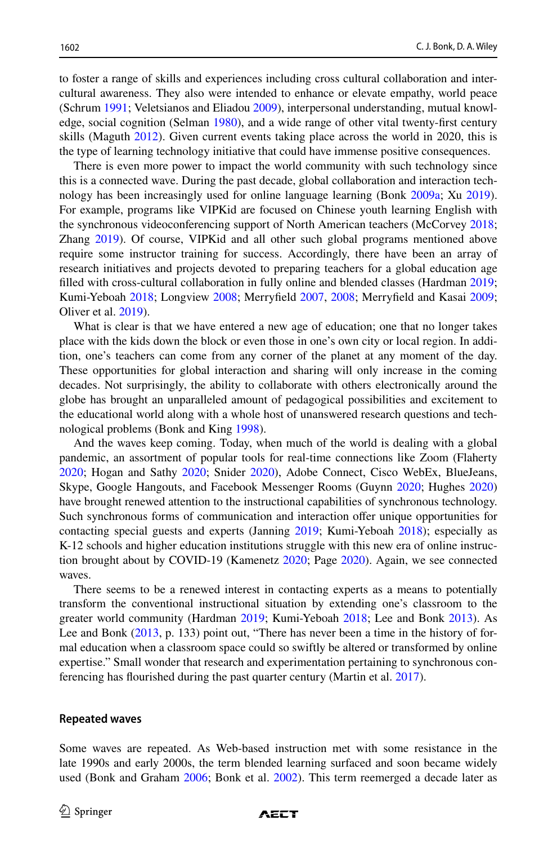to foster a range of skills and experiences including cross cultural collaboration and intercultural awareness. They also were intended to enhance or elevate empathy, world peace (Schrum [1991;](#page-16-13) Veletsianos and Eliadou [2009\)](#page-16-12), interpersonal understanding, mutual knowledge, social cognition (Selman [1980](#page-16-14)), and a wide range of other vital twenty-frst century skills (Maguth [2012\)](#page-15-12). Given current events taking place across the world in 2020, this is the type of learning technology initiative that could have immense positive consequences.

There is even more power to impact the world community with such technology since this is a connected wave. During the past decade, global collaboration and interaction technology has been increasingly used for online language learning (Bonk [2009a](#page-13-0); Xu [2019](#page-16-15)). For example, programs like VIPKid are focused on Chinese youth learning English with the synchronous videoconferencing support of North American teachers (McCorvey [2018;](#page-15-13) Zhang [2019](#page-16-16)). Of course, VIPKid and all other such global programs mentioned above require some instructor training for success. Accordingly, there have been an array of research initiatives and projects devoted to preparing teachers for a global education age flled with cross-cultural collaboration in fully online and blended classes (Hardman [2019;](#page-14-10) Kumi-Yeboah [2018](#page-14-11); Longview [2008](#page-15-14); Merryfeld [2007,](#page-15-15) [2008](#page-15-16); Merryfeld and Kasai [2009;](#page-15-17) Oliver et al. [2019\)](#page-15-18).

What is clear is that we have entered a new age of education; one that no longer takes place with the kids down the block or even those in one's own city or local region. In addition, one's teachers can come from any corner of the planet at any moment of the day. These opportunities for global interaction and sharing will only increase in the coming decades. Not surprisingly, the ability to collaborate with others electronically around the globe has brought an unparalleled amount of pedagogical possibilities and excitement to the educational world along with a whole host of unanswered research questions and technological problems (Bonk and King [1998\)](#page-13-9).

And the waves keep coming. Today, when much of the world is dealing with a global pandemic, an assortment of popular tools for real-time connections like Zoom (Flaherty [2020;](#page-14-12) Hogan and Sathy [2020;](#page-14-13) Snider [2020\)](#page-16-17), Adobe Connect, Cisco WebEx, BlueJeans, Skype, Google Hangouts, and Facebook Messenger Rooms (Guynn [2020](#page-14-14); Hughes [2020](#page-14-15)) have brought renewed attention to the instructional capabilities of synchronous technology. Such synchronous forms of communication and interaction ofer unique opportunities for contacting special guests and experts (Janning [2019;](#page-14-16) Kumi-Yeboah [2018\)](#page-14-11); especially as K-12 schools and higher education institutions struggle with this new era of online instruction brought about by COVID-19 (Kamenetz [2020](#page-14-17); Page [2020](#page-15-19)). Again, we see connected waves.

There seems to be a renewed interest in contacting experts as a means to potentially transform the conventional instructional situation by extending one's classroom to the greater world community (Hardman [2019;](#page-14-10) Kumi-Yeboah [2018;](#page-14-11) Lee and Bonk [2013](#page-15-9)). As Lee and Bonk ([2013,](#page-15-9) p. 133) point out, "There has never been a time in the history of formal education when a classroom space could so swiftly be altered or transformed by online expertise." Small wonder that research and experimentation pertaining to synchronous conferencing has fourished during the past quarter century (Martin et al. [2017](#page-15-20)).

#### **Repeated waves**

Some waves are repeated. As Web-based instruction met with some resistance in the late 1990s and early 2000s, the term blended learning surfaced and soon became widely used (Bonk and Graham [2006](#page-13-16); Bonk et al. [2002](#page-13-17)). This term reemerged a decade later as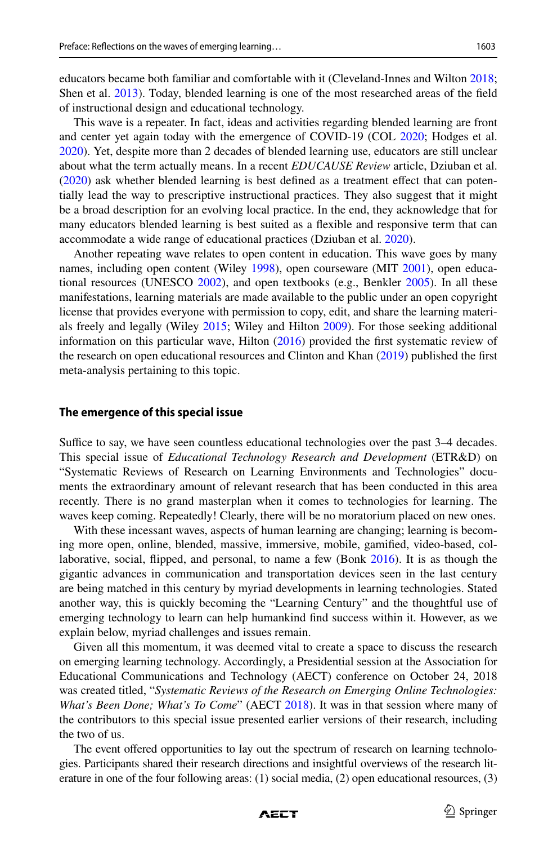educators became both familiar and comfortable with it (Cleveland-Innes and Wilton [2018;](#page-13-18) Shen et al. [2013](#page-16-18)). Today, blended learning is one of the most researched areas of the feld of instructional design and educational technology.

This wave is a repeater. In fact, ideas and activities regarding blended learning are front and center yet again today with the emergence of COVID-19 (COL [2020;](#page-13-19) Hodges et al. [2020\)](#page-14-18). Yet, despite more than 2 decades of blended learning use, educators are still unclear about what the term actually means. In a recent *EDUCAUSE Review* article, Dziuban et al. ([2020\)](#page-13-20) ask whether blended learning is best defned as a treatment efect that can potentially lead the way to prescriptive instructional practices. They also suggest that it might be a broad description for an evolving local practice. In the end, they acknowledge that for many educators blended learning is best suited as a fexible and responsive term that can accommodate a wide range of educational practices (Dziuban et al. [2020\)](#page-13-20).

Another repeating wave relates to open content in education. This wave goes by many names, including open content (Wiley [1998](#page-16-19)), open courseware (MIT [2001\)](#page-15-21), open educational resources (UNESCO [2002](#page-16-20)), and open textbooks (e.g., Benkler [2005](#page-12-3)). In all these manifestations, learning materials are made available to the public under an open copyright license that provides everyone with permission to copy, edit, and share the learning materials freely and legally (Wiley [2015](#page-16-21); Wiley and Hilton [2009](#page-16-2)). For those seeking additional information on this particular wave, Hilton  $(2016)$  $(2016)$  provided the first systematic review of the research on open educational resources and Clinton and Khan [\(2019](#page-13-2)) published the frst meta-analysis pertaining to this topic.

#### **The emergence of this special issue**

Suffice to say, we have seen countless educational technologies over the past 3–4 decades. This special issue of *Educational Technology Research and Development* (ETR&D) on "Systematic Reviews of Research on Learning Environments and Technologies" documents the extraordinary amount of relevant research that has been conducted in this area recently. There is no grand masterplan when it comes to technologies for learning. The waves keep coming. Repeatedly! Clearly, there will be no moratorium placed on new ones.

With these incessant waves, aspects of human learning are changing; learning is becoming more open, online, blended, massive, immersive, mobile, gamifed, video-based, collaborative, social, fipped, and personal, to name a few (Bonk [2016\)](#page-13-21). It is as though the gigantic advances in communication and transportation devices seen in the last century are being matched in this century by myriad developments in learning technologies. Stated another way, this is quickly becoming the "Learning Century" and the thoughtful use of emerging technology to learn can help humankind fnd success within it. However, as we explain below, myriad challenges and issues remain.

Given all this momentum, it was deemed vital to create a space to discuss the research on emerging learning technology. Accordingly, a Presidential session at the Association for Educational Communications and Technology (AECT) conference on October 24, 2018 was created titled, "*Systematic Reviews of the Research on Emerging Online Technologies: What's Been Done; What's To Come*" (AECT [2018\)](#page-12-7). It was in that session where many of the contributors to this special issue presented earlier versions of their research, including the two of us.

The event offered opportunities to lay out the spectrum of research on learning technologies. Participants shared their research directions and insightful overviews of the research literature in one of the four following areas: (1) social media, (2) open educational resources, (3)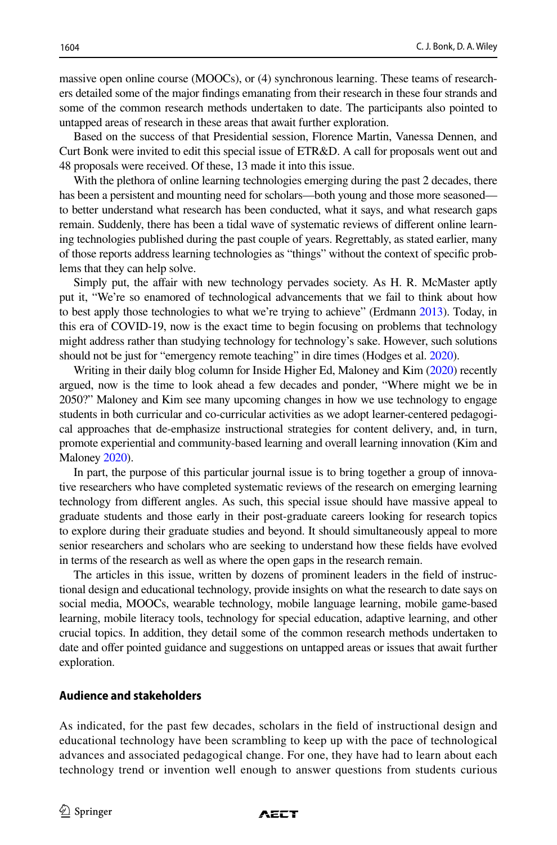massive open online course (MOOCs), or (4) synchronous learning. These teams of researchers detailed some of the major fndings emanating from their research in these four strands and some of the common research methods undertaken to date. The participants also pointed to untapped areas of research in these areas that await further exploration.

Based on the success of that Presidential session, Florence Martin, Vanessa Dennen, and Curt Bonk were invited to edit this special issue of ETR&D. A call for proposals went out and 48 proposals were received. Of these, 13 made it into this issue.

With the plethora of online learning technologies emerging during the past 2 decades, there has been a persistent and mounting need for scholars—both young and those more seasoned to better understand what research has been conducted, what it says, and what research gaps remain. Suddenly, there has been a tidal wave of systematic reviews of diferent online learning technologies published during the past couple of years. Regrettably, as stated earlier, many of those reports address learning technologies as "things" without the context of specifc problems that they can help solve.

Simply put, the afair with new technology pervades society. As H. R. McMaster aptly put it, "We're so enamored of technological advancements that we fail to think about how to best apply those technologies to what we're trying to achieve" (Erdmann [2013\)](#page-14-19). Today, in this era of COVID-19, now is the exact time to begin focusing on problems that technology might address rather than studying technology for technology's sake. However, such solutions should not be just for "emergency remote teaching" in dire times (Hodges et al. [2020\)](#page-14-18).

Writing in their daily blog column for Inside Higher Ed, Maloney and Kim [\(2020\)](#page-15-22) recently argued, now is the time to look ahead a few decades and ponder, "Where might we be in 2050?" Maloney and Kim see many upcoming changes in how we use technology to engage students in both curricular and co-curricular activities as we adopt learner-centered pedagogical approaches that de-emphasize instructional strategies for content delivery, and, in turn, promote experiential and community-based learning and overall learning innovation (Kim and Maloney [2020](#page-14-20)).

In part, the purpose of this particular journal issue is to bring together a group of innovative researchers who have completed systematic reviews of the research on emerging learning technology from diferent angles. As such, this special issue should have massive appeal to graduate students and those early in their post-graduate careers looking for research topics to explore during their graduate studies and beyond. It should simultaneously appeal to more senior researchers and scholars who are seeking to understand how these felds have evolved in terms of the research as well as where the open gaps in the research remain.

The articles in this issue, written by dozens of prominent leaders in the feld of instructional design and educational technology, provide insights on what the research to date says on social media, MOOCs, wearable technology, mobile language learning, mobile game-based learning, mobile literacy tools, technology for special education, adaptive learning, and other crucial topics. In addition, they detail some of the common research methods undertaken to date and ofer pointed guidance and suggestions on untapped areas or issues that await further exploration.

## **Audience and stakeholders**

As indicated, for the past few decades, scholars in the feld of instructional design and educational technology have been scrambling to keep up with the pace of technological advances and associated pedagogical change. For one, they have had to learn about each technology trend or invention well enough to answer questions from students curious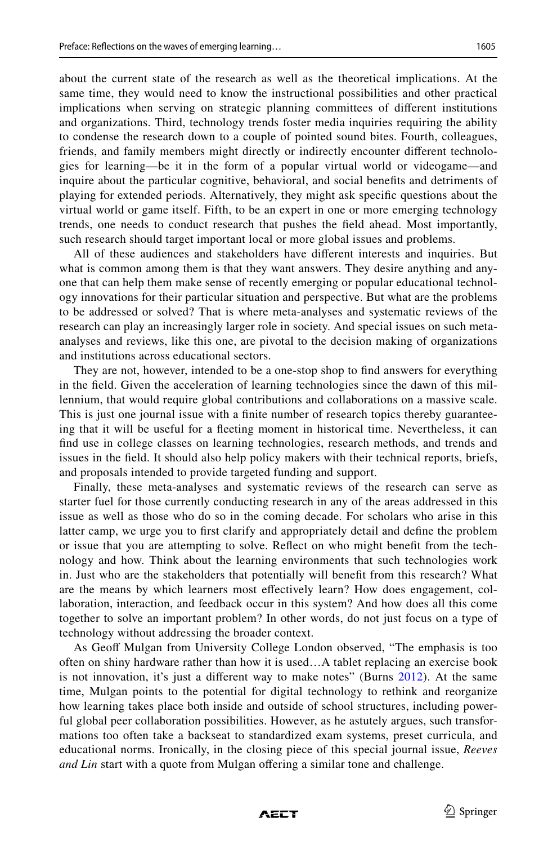about the current state of the research as well as the theoretical implications. At the same time, they would need to know the instructional possibilities and other practical implications when serving on strategic planning committees of diferent institutions and organizations. Third, technology trends foster media inquiries requiring the ability to condense the research down to a couple of pointed sound bites. Fourth, colleagues, friends, and family members might directly or indirectly encounter diferent technologies for learning—be it in the form of a popular virtual world or videogame—and inquire about the particular cognitive, behavioral, and social benefts and detriments of playing for extended periods. Alternatively, they might ask specifc questions about the virtual world or game itself. Fifth, to be an expert in one or more emerging technology trends, one needs to conduct research that pushes the feld ahead. Most importantly, such research should target important local or more global issues and problems.

All of these audiences and stakeholders have diferent interests and inquiries. But what is common among them is that they want answers. They desire anything and anyone that can help them make sense of recently emerging or popular educational technology innovations for their particular situation and perspective. But what are the problems to be addressed or solved? That is where meta-analyses and systematic reviews of the research can play an increasingly larger role in society. And special issues on such metaanalyses and reviews, like this one, are pivotal to the decision making of organizations and institutions across educational sectors.

They are not, however, intended to be a one-stop shop to fnd answers for everything in the feld. Given the acceleration of learning technologies since the dawn of this millennium, that would require global contributions and collaborations on a massive scale. This is just one journal issue with a fnite number of research topics thereby guaranteeing that it will be useful for a feeting moment in historical time. Nevertheless, it can fnd use in college classes on learning technologies, research methods, and trends and issues in the feld. It should also help policy makers with their technical reports, briefs, and proposals intended to provide targeted funding and support.

Finally, these meta-analyses and systematic reviews of the research can serve as starter fuel for those currently conducting research in any of the areas addressed in this issue as well as those who do so in the coming decade. For scholars who arise in this latter camp, we urge you to frst clarify and appropriately detail and defne the problem or issue that you are attempting to solve. Refect on who might beneft from the technology and how. Think about the learning environments that such technologies work in. Just who are the stakeholders that potentially will beneft from this research? What are the means by which learners most efectively learn? How does engagement, collaboration, interaction, and feedback occur in this system? And how does all this come together to solve an important problem? In other words, do not just focus on a type of technology without addressing the broader context.

As Geof Mulgan from University College London observed, "The emphasis is too often on shiny hardware rather than how it is used…A tablet replacing an exercise book is not innovation, it's just a diferent way to make notes" (Burns [2012\)](#page-13-22). At the same time, Mulgan points to the potential for digital technology to rethink and reorganize how learning takes place both inside and outside of school structures, including powerful global peer collaboration possibilities. However, as he astutely argues, such transformations too often take a backseat to standardized exam systems, preset curricula, and educational norms. Ironically, in the closing piece of this special journal issue, *Reeves and Lin* start with a quote from Mulgan offering a similar tone and challenge.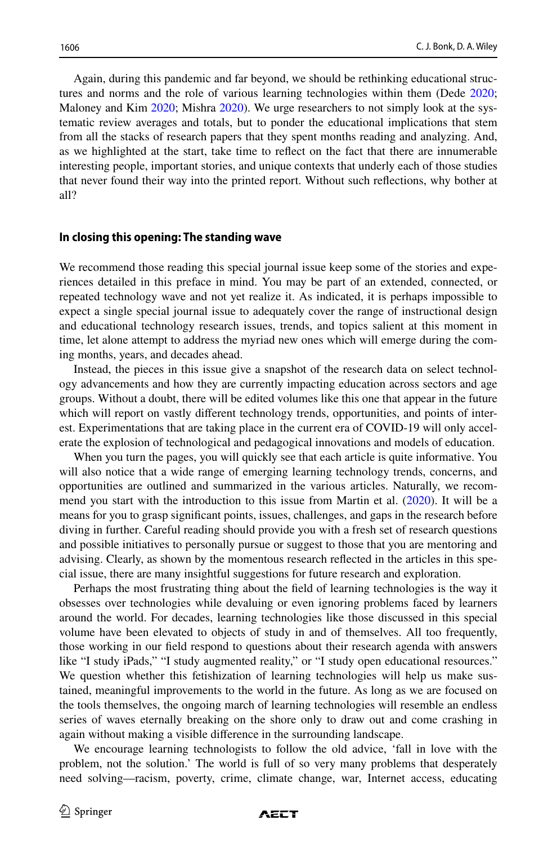Again, during this pandemic and far beyond, we should be rethinking educational structures and norms and the role of various learning technologies within them (Dede [2020;](#page-13-23) Maloney and Kim [2020](#page-15-23); Mishra 2020). We urge researchers to not simply look at the systematic review averages and totals, but to ponder the educational implications that stem from all the stacks of research papers that they spent months reading and analyzing. And, as we highlighted at the start, take time to refect on the fact that there are innumerable interesting people, important stories, and unique contexts that underly each of those studies that never found their way into the printed report. Without such refections, why bother at all?

#### **In closing this opening: The standing wave**

We recommend those reading this special journal issue keep some of the stories and experiences detailed in this preface in mind. You may be part of an extended, connected, or repeated technology wave and not yet realize it. As indicated, it is perhaps impossible to expect a single special journal issue to adequately cover the range of instructional design and educational technology research issues, trends, and topics salient at this moment in time, let alone attempt to address the myriad new ones which will emerge during the coming months, years, and decades ahead.

Instead, the pieces in this issue give a snapshot of the research data on select technology advancements and how they are currently impacting education across sectors and age groups. Without a doubt, there will be edited volumes like this one that appear in the future which will report on vastly diferent technology trends, opportunities, and points of interest. Experimentations that are taking place in the current era of COVID-19 will only accelerate the explosion of technological and pedagogical innovations and models of education.

When you turn the pages, you will quickly see that each article is quite informative. You will also notice that a wide range of emerging learning technology trends, concerns, and opportunities are outlined and summarized in the various articles. Naturally, we recommend you start with the introduction to this issue from Martin et al.  $(2020)$  $(2020)$ . It will be a means for you to grasp signifcant points, issues, challenges, and gaps in the research before diving in further. Careful reading should provide you with a fresh set of research questions and possible initiatives to personally pursue or suggest to those that you are mentoring and advising. Clearly, as shown by the momentous research refected in the articles in this special issue, there are many insightful suggestions for future research and exploration.

Perhaps the most frustrating thing about the feld of learning technologies is the way it obsesses over technologies while devaluing or even ignoring problems faced by learners around the world. For decades, learning technologies like those discussed in this special volume have been elevated to objects of study in and of themselves. All too frequently, those working in our feld respond to questions about their research agenda with answers like "I study iPads," "I study augmented reality," or "I study open educational resources." We question whether this fetishization of learning technologies will help us make sustained, meaningful improvements to the world in the future. As long as we are focused on the tools themselves, the ongoing march of learning technologies will resemble an endless series of waves eternally breaking on the shore only to draw out and come crashing in again without making a visible diference in the surrounding landscape.

We encourage learning technologists to follow the old advice, 'fall in love with the problem, not the solution.' The world is full of so very many problems that desperately need solving—racism, poverty, crime, climate change, war, Internet access, educating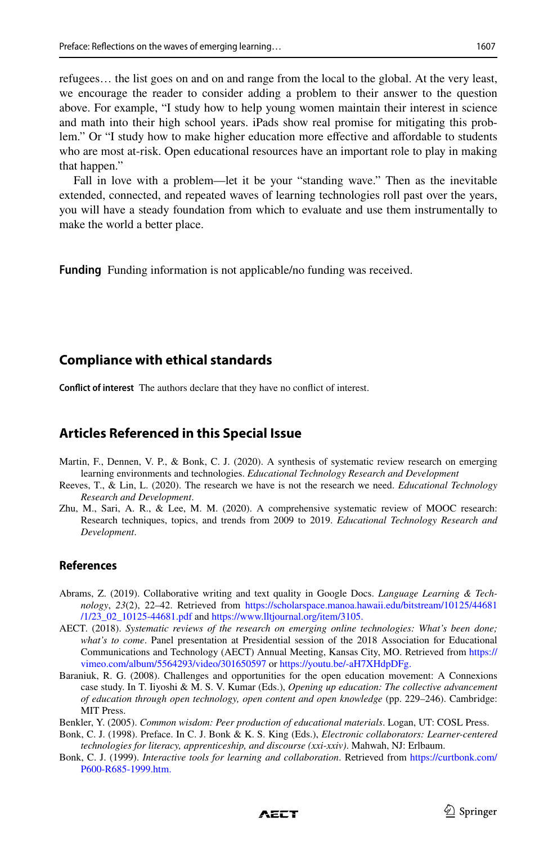refugees… the list goes on and on and range from the local to the global. At the very least, we encourage the reader to consider adding a problem to their answer to the question above. For example, "I study how to help young women maintain their interest in science and math into their high school years. iPads show real promise for mitigating this problem." Or "I study how to make higher education more efective and afordable to students who are most at-risk. Open educational resources have an important role to play in making that happen."

Fall in love with a problem—let it be your "standing wave." Then as the inevitable extended, connected, and repeated waves of learning technologies roll past over the years, you will have a steady foundation from which to evaluate and use them instrumentally to make the world a better place.

**Funding** Funding information is not applicable/no funding was received.

# **Compliance with ethical standards**

**Confict of interest** The authors declare that they have no confict of interest.

# **Articles Referenced in this Special Issue**

- <span id="page-12-8"></span>Martin, F., Dennen, V. P., & Bonk, C. J. (2020). A synthesis of systematic review research on emerging learning environments and technologies. *Educational Technology Research and Development*
- <span id="page-12-4"></span>Reeves, T., & Lin, L. (2020). The research we have is not the research we need. *Educational Technology Research and Development*.
- <span id="page-12-2"></span>Zhu, M., Sari, A. R., & Lee, M. M. (2020). A comprehensive systematic review of MOOC research: Research techniques, topics, and trends from 2009 to 2019. *Educational Technology Research and Development*.

## **References**

- <span id="page-12-6"></span>Abrams, Z. (2019). Collaborative writing and text quality in Google Docs. *Language Learning & Technology*, *23*(2), 22–42. Retrieved from [https://scholarspace.manoa.hawaii.edu/bitstream/10125/44681](https://scholarspace.manoa.hawaii.edu/bitstream/10125/44681/1/23_02_10125-44681.pdf) [/1/23\\_02\\_10125-44681.pdf](https://scholarspace.manoa.hawaii.edu/bitstream/10125/44681/1/23_02_10125-44681.pdf) and<https://www.lltjournal.org/item/3105.>
- <span id="page-12-7"></span>AECT. (2018). *Systematic reviews of the research on emerging online technologies: What's been done; what's to come*. Panel presentation at Presidential session of the 2018 Association for Educational Communications and Technology (AECT) Annual Meeting, Kansas City, MO. Retrieved from [https://](https://vimeo.com/album/5564293/video/301650597) [vimeo.com/album/5564293/video/301650597](https://vimeo.com/album/5564293/video/301650597) or <https://youtu.be/-aH7XHdpDFg.>
- <span id="page-12-1"></span>Baraniuk, R. G. (2008). Challenges and opportunities for the open education movement: A Connexions case study. In T. Iiyoshi & M. S. V. Kumar (Eds.), *Opening up education: The collective advancement of education through open technology, open content and open knowledge* (pp. 229–246). Cambridge: MIT Press.

<span id="page-12-3"></span>Benkler, Y. (2005). *Common wisdom: Peer production of educational materials*. Logan, UT: COSL Press.

- <span id="page-12-5"></span>Bonk, C. J. (1998). Preface. In C. J. Bonk & K. S. King (Eds.), *Electronic collaborators: Learner-centered technologies for literacy, apprenticeship, and discourse (xxi-xxiv)*. Mahwah, NJ: Erlbaum.
- <span id="page-12-0"></span>Bonk, C. J. (1999). *Interactive tools for learning and collaboration*. Retrieved from [https://curtbonk.com/](http://curtbonk.com/P600-R685-1999.htm.) [P600-R685-1999.htm.](http://curtbonk.com/P600-R685-1999.htm.)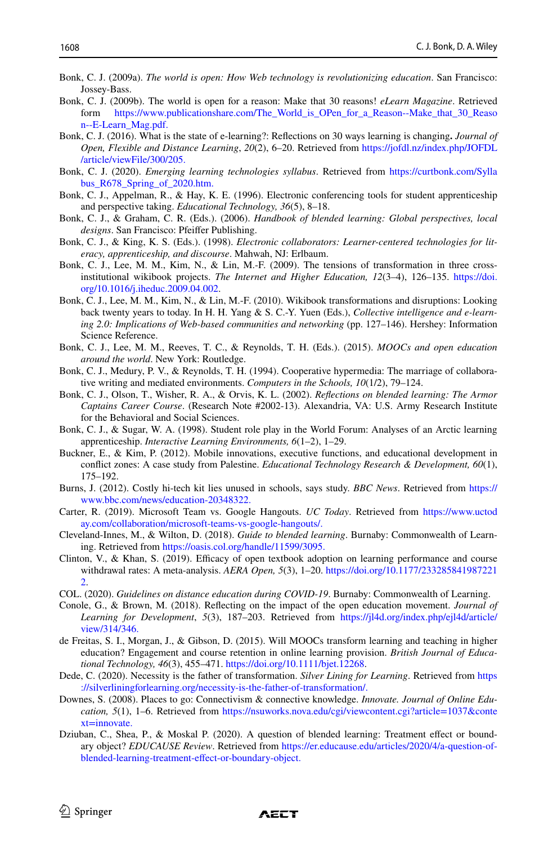- <span id="page-13-0"></span>Bonk, C. J. (2009a). *The world is open: How Web technology is revolutionizing education*. San Francisco: Jossey-Bass.
- <span id="page-13-1"></span>Bonk, C. J. (2009b). The world is open for a reason: Make that 30 reasons! *eLearn Magazine*. Retrieved [https://www.publicationshare.com/The\\_World\\_is\\_OPen\\_for\\_a\\_Reason--Make\\_that\\_30\\_Reaso](http://www.publicationshare.com/The_World_is_OPen_for_a_Reason--Make_that_30_Reason--E-Learn_Mag.pdf.) [n--E-Learn\\_Mag.pdf.](http://www.publicationshare.com/The_World_is_OPen_for_a_Reason--Make_that_30_Reason--E-Learn_Mag.pdf.)
- <span id="page-13-21"></span>Bonk, C. J. (2016). What is the state of e-learning?: Refections on 30 ways learning is changing**.** *Journal of Open, Flexible and Distance Learning*, *20*(2), 6–20. Retrieved from [https://jofdl.nz/index.php/JOFDL](http://jofdl.nz/index.php/JOFDL/article/viewFile/300/205.) [/article/viewFile/300/205.](http://jofdl.nz/index.php/JOFDL/article/viewFile/300/205.)
- <span id="page-13-4"></span>Bonk, C. J. (2020). *Emerging learning technologies syllabus*. Retrieved from [https://curtbonk.com/Sylla](http://curtbonk.com/Syllabus_R678_Spring_of_2020.htm.) bus R678 Spring of 2020.htm.
- <span id="page-13-13"></span>Bonk, C. J., Appelman, R., & Hay, K. E. (1996). Electronic conferencing tools for student apprenticeship and perspective taking. *Educational Technology, 36*(5), 8–18.
- <span id="page-13-16"></span>Bonk, C. J., & Graham, C. R. (Eds.). (2006). *Handbook of blended learning: Global perspectives, local designs*. San Francisco: Pfeifer Publishing.
- <span id="page-13-9"></span>Bonk, C. J., & King, K. S. (Eds.). (1998). *Electronic collaborators: Learner-centered technologies for literacy, apprenticeship, and discourse*. Mahwah, NJ: Erlbaum.
- <span id="page-13-11"></span>Bonk, C. J., Lee, M. M., Kim, N., & Lin, M.-F. (2009). The tensions of transformation in three crossinstitutional wikibook projects. *The Internet and Higher Education, 12*(3–4), 126–135. [https://doi.](https://doi.org/10.1016/j.iheduc.2009.04.002) [org/10.1016/j.iheduc.2009.04.002](https://doi.org/10.1016/j.iheduc.2009.04.002).
- <span id="page-13-12"></span>Bonk, C. J., Lee, M. M., Kim, N., & Lin, M.-F. (2010). Wikibook transformations and disruptions: Looking back twenty years to today. In H. H. Yang & S. C.-Y. Yuen (Eds.), *Collective intelligence and e-learning 2.0: Implications of Web-based communities and networking* (pp. 127–146). Hershey: Information Science Reference.
- <span id="page-13-5"></span>Bonk, C. J., Lee, M. M., Reeves, T. C., & Reynolds, T. H. (Eds.). (2015). *MOOCs and open education around the world*. New York: Routledge.
- <span id="page-13-8"></span>Bonk, C. J., Medury, P. V., & Reynolds, T. H. (1994). Cooperative hypermedia: The marriage of collaborative writing and mediated environments. *Computers in the Schools, 10*(1/2), 79–124.
- <span id="page-13-17"></span>Bonk, C. J., Olson, T., Wisher, R. A., & Orvis, K. L. (2002). *Refections on blended learning: The Armor Captains Career Course*. (Research Note #2002-13). Alexandria, VA: U.S. Army Research Institute for the Behavioral and Social Sciences.
- <span id="page-13-15"></span>Bonk, C. J., & Sugar, W. A. (1998). Student role play in the World Forum: Analyses of an Arctic learning apprenticeship. *Interactive Learning Environments, 6*(1–2), 1–29.
- <span id="page-13-14"></span>Buckner, E., & Kim, P. (2012). Mobile innovations, executive functions, and educational development in confict zones: A case study from Palestine. *Educational Technology Research & Development, 60*(1), 175–192.
- <span id="page-13-22"></span>Burns, J. (2012). Costly hi-tech kit lies unused in schools, says study. *BBC News*. Retrieved from [https://](https://www.bbc.com/news/education-20348322.) [www.bbc.com/news/education-20348322.](https://www.bbc.com/news/education-20348322.)
- <span id="page-13-10"></span>Carter, R. (2019). Microsoft Team vs. Google Hangouts. *UC Today*. Retrieved from [https://www.uctod](https://www.uctoday.com/collaboration/microsoft-teams-vs-google-hangouts/.) [ay.com/collaboration/microsoft-teams-vs-google-hangouts/.](https://www.uctoday.com/collaboration/microsoft-teams-vs-google-hangouts/.)
- <span id="page-13-18"></span>Cleveland-Innes, M., & Wilton, D. (2018). *Guide to blended learning*. Burnaby: Commonwealth of Learning. Retrieved from [https://oasis.col.org/handle/11599/3095.](http://oasis.col.org/handle/11599/3095.)
- <span id="page-13-2"></span>Clinton, V., & Khan, S. (2019). Efficacy of open textbook adoption on learning performance and course withdrawal rates: A meta-analysis. *AERA Open, 5*(3), 1–20. [https://doi.org/10.1177/233285841987221](https://doi.org/10.1177/2332858419872212) [2.](https://doi.org/10.1177/2332858419872212)
- <span id="page-13-19"></span>COL. (2020). *Guidelines on distance education during COVID-19*. Burnaby: Commonwealth of Learning.
- <span id="page-13-3"></span>Conole, G., & Brown, M. (2018). Refecting on the impact of the open education movement. *Journal of Learning for Development*, *5*(3), 187–203. Retrieved from [https://jl4d.org/index.php/ejl4d/article/](https://jl4d.org/index.php/ejl4d/article/view/314/346.) [view/314/346.](https://jl4d.org/index.php/ejl4d/article/view/314/346.)
- <span id="page-13-6"></span>de Freitas, S. I., Morgan, J., & Gibson, D. (2015). Will MOOCs transform learning and teaching in higher education? Engagement and course retention in online learning provision. *British Journal of Educational Technology, 46*(3), 455–471. [https://doi.org/10.1111/bjet.12268.](https://doi.org/10.1111/bjet.12268)
- <span id="page-13-23"></span>Dede, C. (2020). Necessity is the father of transformation. *Silver Lining for Learning*. Retrieved from [https](https://silverliningforlearning.org/necessity-is-the-father-of-transformation/.) [://silverliningforlearning.org/necessity-is-the-father-of-transformation/.](https://silverliningforlearning.org/necessity-is-the-father-of-transformation/.)
- <span id="page-13-7"></span>Downes, S. (2008). Places to go: Connectivism & connective knowledge. *Innovate. Journal of Online Education, 5*(1), 1–6. Retrieved from [https://nsuworks.nova.edu/cgi/viewcontent.cgi?article=1037&conte](http://nsuworks.nova.edu/cgi/viewcontent.cgi?article=1037&context=innovate.) [xt=innovate.](http://nsuworks.nova.edu/cgi/viewcontent.cgi?article=1037&context=innovate.)
- <span id="page-13-20"></span>Dziuban, C., Shea, P., & Moskal P. (2020). A question of blended learning: Treatment effect or boundary object? *EDUCAUSE Review*. Retrieved from [https://er.educause.edu/articles/2020/4/a-question-of](https://er.educause.edu/articles/2020/4/a-question-of-blended-learning-treatment-effect-or-boundary-object.)[blended-learning-treatment-efect-or-boundary-object.](https://er.educause.edu/articles/2020/4/a-question-of-blended-learning-treatment-effect-or-boundary-object.)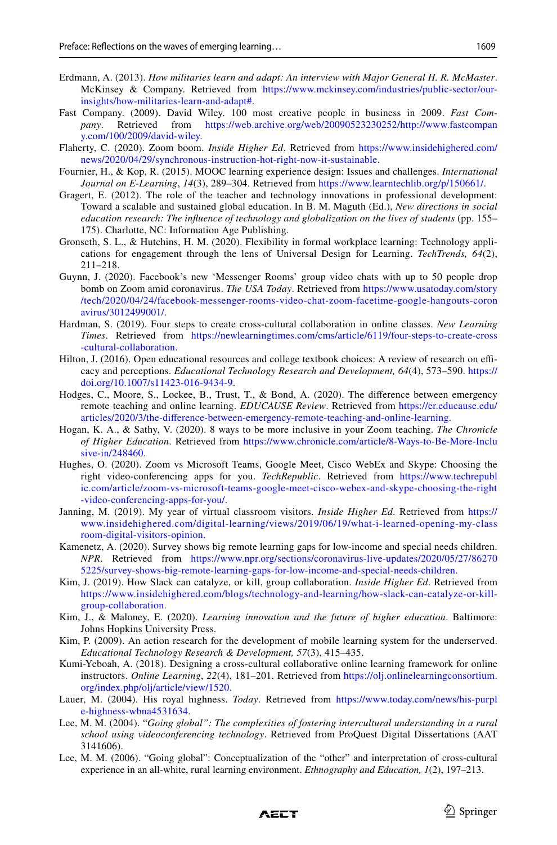- <span id="page-14-19"></span>Erdmann, A. (2013). *How militaries learn and adapt: An interview with Major General H. R. McMaster*. McKinsey & Company. Retrieved from [https://www.mckinsey.com/industries/public-sector/our](https://www.mckinsey.com/industries/public-sector/our-insights/how-militaries-learn-and-adapt#)[insights/how-militaries-learn-and-adapt#.](https://www.mckinsey.com/industries/public-sector/our-insights/how-militaries-learn-and-adapt#)
- <span id="page-14-0"></span>Fast Company. (2009). David Wiley. 100 most creative people in business in 2009. Fast Com-<br>pany. Retrieved from https://web.archive.org/web/20090523230252/http://www.fastcompan *pany*. Retrieved from [https://web.archive.org/web/20090523230252/http://www.fastcompan](https://web.archive.org/web/20090523230252/http://www.fastcompany.com/100/2009/david-wiley.) [y.com/100/2009/david-wiley.](https://web.archive.org/web/20090523230252/http://www.fastcompany.com/100/2009/david-wiley.)
- <span id="page-14-12"></span>Flaherty, C. (2020). Zoom boom. *Inside Higher Ed*. Retrieved from [https://www.insidehighered.com/](https://www.insidehighered.com/news/2020/04/29/synchronous-instruction-hot-right-now-it-sustainable.) [news/2020/04/29/synchronous-instruction-hot-right-now-it-sustainable.](https://www.insidehighered.com/news/2020/04/29/synchronous-instruction-hot-right-now-it-sustainable.)
- <span id="page-14-3"></span>Fournier, H., & Kop, R. (2015). MOOC learning experience design: Issues and challenges. *International Journal on E-Learning*, *14*(3), 289–304. Retrieved from<https://www.learntechlib.org/p/150661/.>
- <span id="page-14-8"></span>Gragert, E. (2012). The role of the teacher and technology innovations in professional development: Toward a scalable and sustained global education. In B. M. Maguth (Ed.), *New directions in social education research: The infuence of technology and globalization on the lives of students* (pp. 155– 175). Charlotte, NC: Information Age Publishing.
- <span id="page-14-5"></span>Gronseth, S. L., & Hutchins, H. M. (2020). Flexibility in formal workplace learning: Technology applications for engagement through the lens of Universal Design for Learning. *TechTrends, 64*(2), 211–218.
- <span id="page-14-14"></span>Guynn, J. (2020). Facebook's new 'Messenger Rooms' group video chats with up to 50 people drop bomb on Zoom amid coronavirus. *The USA Today*. Retrieved from [https://www.usatoday.com/story](https://www.usatoday.com/story/tech/2020/04/24/facebook-messenger-rooms-video-chat-zoom-facetime-google-hangouts-coronavirus/3012499001/.) [/tech/2020/04/24/facebook-messenger-rooms-video-chat-zoom-facetime-google-hangouts-coron](https://www.usatoday.com/story/tech/2020/04/24/facebook-messenger-rooms-video-chat-zoom-facetime-google-hangouts-coronavirus/3012499001/.) [avirus/3012499001/.](https://www.usatoday.com/story/tech/2020/04/24/facebook-messenger-rooms-video-chat-zoom-facetime-google-hangouts-coronavirus/3012499001/.)
- <span id="page-14-10"></span>Hardman, S. (2019). Four steps to create cross-cultural collaboration in online classes. *New Learning Times*. Retrieved from [https://newlearningtimes.com/cms/article/6119/four-steps-to-create-cross](https://newlearningtimes.com/cms/article/6119/four-steps-to-create-cross-cultural-collaboration.) [-cultural-collaboration.](https://newlearningtimes.com/cms/article/6119/four-steps-to-create-cross-cultural-collaboration.)
- <span id="page-14-2"></span>Hilton, J. (2016). Open educational resources and college textbook choices: A review of research on efficacy and perceptions. *Educational Technology Research and Development, 64*(4), 573–590. [https://](https://doi.org/10.1007/s11423-016-9434-9) [doi.org/10.1007/s11423-016-9434-9.](https://doi.org/10.1007/s11423-016-9434-9)
- <span id="page-14-18"></span>Hodges, C., Moore, S., Lockee, B., Trust, T., & Bond, A. (2020). The diference between emergency remote teaching and online learning. *EDUCAUSE Review*. Retrieved from [https://er.educause.edu/](https://er.educause.edu/articles/2020/3/the-difference-between-emergency-remote-teaching-and-online-learning.) [articles/2020/3/the-diference-between-emergency-remote-teaching-and-online-learning.](https://er.educause.edu/articles/2020/3/the-difference-between-emergency-remote-teaching-and-online-learning.)
- <span id="page-14-13"></span>Hogan, K. A., & Sathy, V. (2020). 8 ways to be more inclusive in your Zoom teaching. *The Chronicle of Higher Education*. Retrieved from [https://www.chronicle.com/article/8-Ways-to-Be-More-Inclu](https://www.chronicle.com/article/8-Ways-to-Be-More-Inclusive-in/248460.) [sive-in/248460.](https://www.chronicle.com/article/8-Ways-to-Be-More-Inclusive-in/248460.)
- <span id="page-14-15"></span>Hughes, O. (2020). Zoom vs Microsoft Teams, Google Meet, Cisco WebEx and Skype: Choosing the right video-conferencing apps for you. *TechRepublic*. Retrieved from [https://www.techrepubl](https://www.techrepublic.com/article/zoom-vs-microsoft-teams-google-meet-cisco-webex-and-skype-choosing-the-right-video-conferencing-apps-for-you/.) [ic.com/article/zoom-vs-microsoft-teams-google-meet-cisco-webex-and-skype-choosing-the-right](https://www.techrepublic.com/article/zoom-vs-microsoft-teams-google-meet-cisco-webex-and-skype-choosing-the-right-video-conferencing-apps-for-you/.) [-video-conferencing-apps-for-you/.](https://www.techrepublic.com/article/zoom-vs-microsoft-teams-google-meet-cisco-webex-and-skype-choosing-the-right-video-conferencing-apps-for-you/.)
- <span id="page-14-16"></span>Janning, M. (2019). My year of virtual classroom visitors. *Inside Higher Ed*. Retrieved from [https://](https://www.insidehighered.com/digital-learning/views/2019/06/19/what-i-learned-opening-my-classroom-digital-visitors-opinion.) [www.insidehighered.com/digital-learning/views/2019/06/19/what-i-learned-opening-my-class](https://www.insidehighered.com/digital-learning/views/2019/06/19/what-i-learned-opening-my-classroom-digital-visitors-opinion.) [room-digital-visitors-opinion.](https://www.insidehighered.com/digital-learning/views/2019/06/19/what-i-learned-opening-my-classroom-digital-visitors-opinion.)
- <span id="page-14-17"></span>Kamenetz, A. (2020). Survey shows big remote learning gaps for low-income and special needs children. *NPR*. Retrieved from [https://www.npr.org/sections/coronavirus-live-updates/2020/05/27/86270](https://www.npr.org/sections/coronavirus-live-updates/2020/05/27/862705225/survey-shows-big-remote-learning-gaps-for-low-income-and-special-needs-children.) [5225/survey-shows-big-remote-learning-gaps-for-low-income-and-special-needs-children.](https://www.npr.org/sections/coronavirus-live-updates/2020/05/27/862705225/survey-shows-big-remote-learning-gaps-for-low-income-and-special-needs-children.)
- <span id="page-14-4"></span>Kim, J. (2019). How Slack can catalyze, or kill, group collaboration. *Inside Higher Ed*. Retrieved from [https://www.insidehighered.com/blogs/technology-and-learning/how-slack-can-catalyze-or-kill](https://www.insidehighered.com/blogs/technology-and-learning/how-slack-can-catalyze-or-kill-group-collaboration.)[group-collaboration.](https://www.insidehighered.com/blogs/technology-and-learning/how-slack-can-catalyze-or-kill-group-collaboration.)
- <span id="page-14-20"></span>Kim, J., & Maloney, E. (2020). *Learning innovation and the future of higher education*. Baltimore: Johns Hopkins University Press.
- <span id="page-14-9"></span>Kim, P. (2009). An action research for the development of mobile learning system for the underserved. *Educational Technology Research & Development, 57*(3), 415–435.
- <span id="page-14-11"></span>Kumi-Yeboah, A. (2018). Designing a cross-cultural collaborative online learning framework for online instructors. *Online Learning*, *22*(4), 181–201. Retrieved from [https://olj.onlinelearningconsortium.](https://olj.onlinelearningconsortium.org/index.php/olj/article/view/1520.) [org/index.php/olj/article/view/1520.](https://olj.onlinelearningconsortium.org/index.php/olj/article/view/1520.)
- <span id="page-14-1"></span>Lauer, M. (2004). His royal highness. *Today*. Retrieved from [https://www.today.com/news/his-purpl](https://www.today.com/news/his-purple-highness-wbna4531634.) [e-highness-wbna4531634.](https://www.today.com/news/his-purple-highness-wbna4531634.)
- <span id="page-14-6"></span>Lee, M. M. (2004). "*Going global": The complexities of fostering intercultural understanding in a rural school using videoconferencing technology*. Retrieved from ProQuest Digital Dissertations (AAT 3141606).
- <span id="page-14-7"></span>Lee, M. M. (2006). "Going global": Conceptualization of the "other" and interpretation of cross-cultural experience in an all-white, rural learning environment. *Ethnography and Education, 1*(2), 197–213.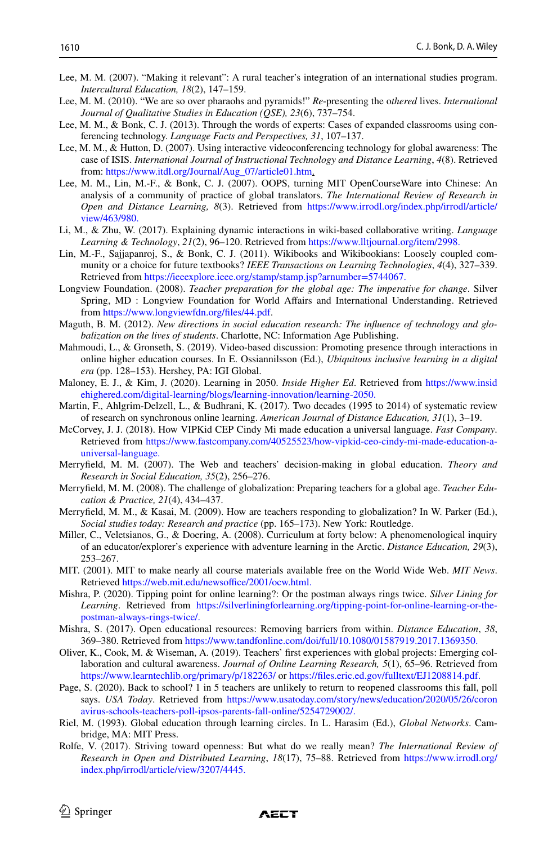- <span id="page-15-7"></span>Lee, M. M. (2007). "Making it relevant": A rural teacher's integration of an international studies program. *Intercultural Education, 18*(2), 147–159.
- <span id="page-15-8"></span>Lee, M. M. (2010). "We are so over pharaohs and pyramids!" *Re*-presenting the o*thered* lives. *International Journal of Qualitative Studies in Education (QSE), 23*(6), 737–754.
- <span id="page-15-9"></span>Lee, M. M., & Bonk, C. J. (2013). Through the words of experts: Cases of expanded classrooms using conferencing technology. *Language Facts and Perspectives, 31*, 107–137.
- <span id="page-15-6"></span>Lee, M. M., & Hutton, D. (2007). Using interactive videoconferencing technology for global awareness: The case of ISIS. *International Journal of Instructional Technology and Distance Learning*, *4*(8). Retrieved from: [https://www.itdl.org/Journal/Aug\\_07/article01.htm](http://www.itdl.org/Journal/Aug_07/article01.htm).
- <span id="page-15-1"></span>Lee, M. M., Lin, M.-F., & Bonk, C. J. (2007). OOPS, turning MIT OpenCourseWare into Chinese: An analysis of a community of practice of global translators. *The International Review of Research in Open and Distance Learning, 8*(3). Retrieved from [https://www.irrodl.org/index.php/irrodl/article/](http://www.irrodl.org/index.php/irrodl/article/view/463/980.) [view/463/980.](http://www.irrodl.org/index.php/irrodl/article/view/463/980.)
- <span id="page-15-5"></span>Li, M., & Zhu, W. (2017). Explaining dynamic interactions in wiki-based collaborative writing. *Language Learning & Technology*, *21*(2), 96–120. Retrieved from [https://www.lltjournal.org/item/2998.](http://www.lltjournal.org/item/2998.)
- <span id="page-15-4"></span>Lin, M.-F., Sajjapanroj, S., & Bonk, C. J. (2011). Wikibooks and Wikibookians: Loosely coupled community or a choice for future textbooks? *IEEE Transactions on Learning Technologies*, *4*(4), 327–339. Retrieved from [https://ieeexplore.ieee.org/stamp/stamp.jsp?arnumber=5744067.](http://ieeexplore.ieee.org/stamp/stamp.jsp?arnumber=5744067.)
- <span id="page-15-14"></span>Longview Foundation. (2008). *Teacher preparation for the global age: The imperative for change*. Silver Spring, MD : Longview Foundation for World Afairs and International Understanding. Retrieved from [https://www.longviewfdn.org/fles/44.pdf.](http://www.longviewfdn.org/files/44.pdf)
- <span id="page-15-12"></span>Maguth, B. M. (2012). *New directions in social education research: The infuence of technology and globalization on the lives of students*. Charlotte, NC: Information Age Publishing.
- <span id="page-15-3"></span>Mahmoudi, L., & Gronseth, S. (2019). Video-based discussion: Promoting presence through interactions in online higher education courses. In E. Ossiannilsson (Ed.), *Ubiquitous inclusive learning in a digital era* (pp. 128–153). Hershey, PA: IGI Global.
- <span id="page-15-22"></span>Maloney, E. J., & Kim, J. (2020). Learning in 2050. *Inside Higher Ed*. Retrieved from [https://www.insid](https://www.insidehighered.com/digital-learning/blogs/learning-innovation/learning-2050.) [ehighered.com/digital-learning/blogs/learning-innovation/learning-2050.](https://www.insidehighered.com/digital-learning/blogs/learning-innovation/learning-2050.)
- <span id="page-15-20"></span>Martin, F., Ahlgrim-Delzell, L., & Budhrani, K. (2017). Two decades (1995 to 2014) of systematic review of research on synchronous online learning. *American Journal of Distance Education, 31*(1), 3–19.
- <span id="page-15-13"></span>McCorvey, J. J. (2018). How VIPKid CEP Cindy Mi made education a universal language. *Fast Company*. Retrieved from [https://www.fastcompany.com/40525523/how-vipkid-ceo-cindy-mi-made-education-a](https://www.fastcompany.com/40525523/how-vipkid-ceo-cindy-mi-made-education-a-universal-language.)[universal-language.](https://www.fastcompany.com/40525523/how-vipkid-ceo-cindy-mi-made-education-a-universal-language.)
- <span id="page-15-15"></span>Merryfeld, M. M. (2007). The Web and teachers' decision-making in global education. *Theory and Research in Social Education, 35*(2), 256–276.
- <span id="page-15-16"></span>Merryfeld, M. M. (2008). The challenge of globalization: Preparing teachers for a global age. *Teacher Education & Practice, 21*(4), 434–437.
- <span id="page-15-17"></span>Merryfeld, M. M., & Kasai, M. (2009). How are teachers responding to globalization? In W. Parker (Ed.), *Social studies today: Research and practice* (pp. 165–173). New York: Routledge.
- <span id="page-15-10"></span>Miller, C., Veletsianos, G., & Doering, A. (2008). Curriculum at forty below: A phenomenological inquiry of an educator/explorer's experience with adventure learning in the Arctic. *Distance Education, 29*(3), 253–267.
- <span id="page-15-21"></span>MIT. (2001). MIT to make nearly all course materials available free on the World Wide Web. *MIT News*. Retrieved https://web.mit.edu/newsoffice/2001/ocw.html.
- <span id="page-15-23"></span>Mishra, P. (2020). Tipping point for online learning?: Or the postman always rings twice. *Silver Lining for Learning*. Retrieved from [https://silverliningforlearning.org/tipping-point-for-online-learning-or-the](https://silverliningforlearning.org/tipping-point-for-online-learning-or-the-postman-always-rings-twice/.)[postman-always-rings-twice/.](https://silverliningforlearning.org/tipping-point-for-online-learning-or-the-postman-always-rings-twice/.)
- <span id="page-15-0"></span>Mishra, S. (2017). Open educational resources: Removing barriers from within. *Distance Education*, *38*, 369–380. Retrieved from [https://www.tandfonline.com/doi/full/10.1080/01587919.2017.1369350.](http://www.tandfonline.com/doi/full/10.1080/01587919.2017.1369350.)
- <span id="page-15-18"></span>Oliver, K., Cook, M. & Wiseman, A. (2019). Teachers' frst experiences with global projects: Emerging collaboration and cultural awareness. *Journal of Online Learning Research, 5*(1), 65–96. Retrieved from <https://www.learntechlib.org/primary/p/182263/>or [https://fles.eric.ed.gov/fulltext/EJ1208814.pdf.](https://files.eric.ed.gov/fulltext/EJ1208814.pdf.)
- <span id="page-15-19"></span>Page, S. (2020). Back to school? 1 in 5 teachers are unlikely to return to reopened classrooms this fall, poll says. *USA Today*. Retrieved from [https://www.usatoday.com/story/news/education/2020/05/26/coron](https://www.usatoday.com/story/news/education/2020/05/26/coronavirus-schools-teachers-poll-ipsos-parents-fall-online/5254729002/.) [avirus-schools-teachers-poll-ipsos-parents-fall-online/5254729002/.](https://www.usatoday.com/story/news/education/2020/05/26/coronavirus-schools-teachers-poll-ipsos-parents-fall-online/5254729002/.)
- <span id="page-15-11"></span>Riel, M. (1993). Global education through learning circles. In L. Harasim (Ed.), *Global Networks*. Cambridge, MA: MIT Press.
- <span id="page-15-2"></span>Rolfe, V. (2017). Striving toward openness: But what do we really mean? *The International Review of Research in Open and Distributed Learning*, *18*(17), 75–88. Retrieved from [https://www.irrodl.org/](http://www.irrodl.org/index.php/irrodl/article/view/3207/4445.) [index.php/irrodl/article/view/3207/4445.](http://www.irrodl.org/index.php/irrodl/article/view/3207/4445.)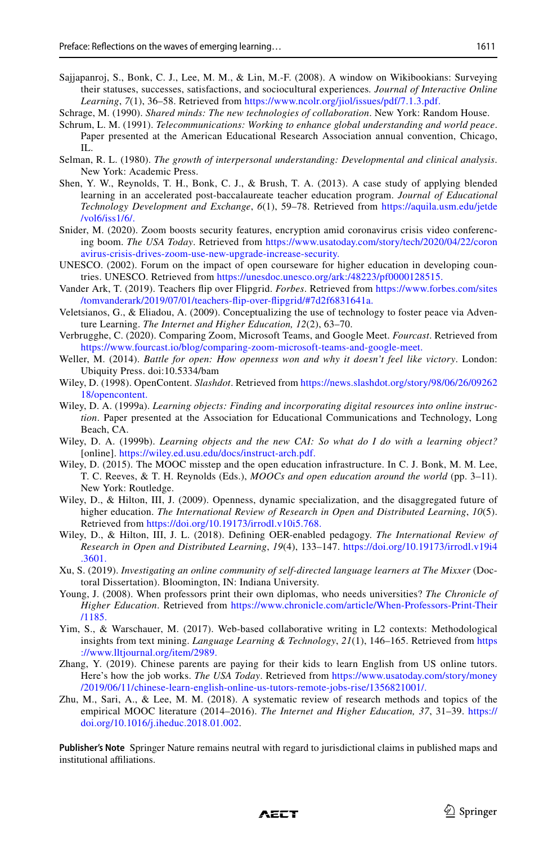- <span id="page-16-10"></span>Sajjapanroj, S., Bonk, C. J., Lee, M. M., & Lin, M.-F. (2008). A window on Wikibookians: Surveying their statuses, successes, satisfactions, and sociocultural experiences*. Journal of Interactive Online Learning*, *7*(1), 36–58. Retrieved from <https://www.ncolr.org/jiol/issues/pdf/7.1.3.pdf.>
- <span id="page-16-7"></span>Schrage, M. (1990). *Shared minds: The new technologies of collaboration*. New York: Random House.
- <span id="page-16-13"></span>Schrum, L. M. (1991). *Telecommunications: Working to enhance global understanding and world peace*. Paper presented at the American Educational Research Association annual convention, Chicago, IL.
- <span id="page-16-14"></span>Selman, R. L. (1980). *The growth of interpersonal understanding: Developmental and clinical analysis*. New York: Academic Press.
- <span id="page-16-18"></span>Shen, Y. W., Reynolds, T. H., Bonk, C. J., & Brush, T. A. (2013). A case study of applying blended learning in an accelerated post-baccalaureate teacher education program. *Journal of Educational Technology Development and Exchange*, *6*(1), 59–78. Retrieved from [https://aquila.usm.edu/jetde](http://aquila.usm.edu/jetde/vol6/iss1/6/.) [/vol6/iss1/6/.](http://aquila.usm.edu/jetde/vol6/iss1/6/.)
- <span id="page-16-17"></span>Snider, M. (2020). Zoom boosts security features, encryption amid coronavirus crisis video conferencing boom. *The USA Today*. Retrieved from [https://www.usatoday.com/story/tech/2020/04/22/coron](https://www.usatoday.com/story/tech/2020/04/22/coronavirus-crisis-drives-zoom-use-new-upgrade-increase-security.) [avirus-crisis-drives-zoom-use-new-upgrade-increase-security.](https://www.usatoday.com/story/tech/2020/04/22/coronavirus-crisis-drives-zoom-use-new-upgrade-increase-security.)
- <span id="page-16-20"></span>UNESCO. (2002). Forum on the impact of open courseware for higher education in developing countries. UNESCO. Retrieved from<https://unesdoc.unesco.org/ark:/48223/pf0000128515.>
- <span id="page-16-9"></span>Vander Ark, T. (2019). Teachers fip over Flipgrid. *Forbes*. Retrieved from [https://www.forbes.com/sites](https://www.forbes.com/sites/tomvanderark/2019/07/01/teachers-flip-over-flipgrid/#7d2f6831641a.) [/tomvanderark/2019/07/01/teachers-fip-over-fipgrid/#7d2f6831641a.](https://www.forbes.com/sites/tomvanderark/2019/07/01/teachers-flip-over-flipgrid/#7d2f6831641a.)
- <span id="page-16-12"></span>Veletsianos, G., & Eliadou, A. (2009). Conceptualizing the use of technology to foster peace via Adventure Learning. *The Internet and Higher Education, 12*(2), 63–70.
- <span id="page-16-8"></span>Verbrugghe, C. (2020). Comparing Zoom, Microsoft Teams, and Google Meet. *Fourcast*. Retrieved from <https://www.fourcast.io/blog/comparing-zoom-microsoft-teams-and-google-meet.>
- <span id="page-16-4"></span>Weller, M. (2014). *Battle for open: How openness won and why it doesn't feel like victory*. London: Ubiquity Press. doi:10.5334/bam
- <span id="page-16-19"></span>Wiley, D. (1998). OpenContent. *Slashdot*. Retrieved from [https://news.slashdot.org/story/98/06/26/09262](https://news.slashdot.org/story/98/06/26/0926218/opencontent.) [18/opencontent.](https://news.slashdot.org/story/98/06/26/0926218/opencontent.)
- <span id="page-16-0"></span>Wiley, D. A. (1999a). *Learning objects: Finding and incorporating digital resources into online instruction*. Paper presented at the Association for Educational Communications and Technology, Long Beach, CA.
- <span id="page-16-1"></span>Wiley, D. A. (1999b). *Learning objects and the new CAI: So what do I do with a learning object?* [online]. [https://wiley.ed.usu.edu/docs/instruct-arch.pdf.](http://wiley.ed.usu.edu/docs/instruct-arch.pdf.)
- <span id="page-16-21"></span>Wiley, D. (2015). The MOOC misstep and the open education infrastructure. In C. J. Bonk, M. M. Lee, T. C. Reeves, & T. H. Reynolds (Eds.), *MOOCs and open education around the world* (pp. 3–11). New York: Routledge.
- <span id="page-16-2"></span>Wiley, D., & Hilton, III, J. (2009). Openness, dynamic specialization, and the disaggregated future of higher education. *The International Review of Research in Open and Distributed Learning*, *10*(5). Retrieved from <https://doi.org/10.19173/irrodl.v10i5.768.>
- <span id="page-16-3"></span>Wiley, D., & Hilton, III, J. L. (2018). Defning OER-enabled pedagogy. *The International Review of Research in Open and Distributed Learning*, *19*(4), 133–147. [https://doi.org/10.19173/irrodl.v19i4](https://doi.org/10.19173/irrodl.v19i4.3601.) [.3601.](https://doi.org/10.19173/irrodl.v19i4.3601.)
- <span id="page-16-15"></span>Xu, S. (2019). *Investigating an online community of self-directed language learners at The Mixxer* (Doctoral Dissertation). Bloomington, IN: Indiana University.
- <span id="page-16-6"></span>Young, J. (2008). When professors print their own diplomas, who needs universities? *The Chronicle of Higher Education*. Retrieved from [https://www.chronicle.com/article/When-Professors-Print-Their](https://www.chronicle.com/article/When-Professors-Print-Their/1185.) [/1185.](https://www.chronicle.com/article/When-Professors-Print-Their/1185.)
- <span id="page-16-11"></span>Yim, S., & Warschauer, M. (2017). Web-based collaborative writing in L2 contexts: Methodological insights from text mining. *Language Learning & Technology*, *21*(1), 146–165. Retrieved from [https](http://www.lltjournal.org/item/2989.) [://www.lltjournal.org/item/2989.](http://www.lltjournal.org/item/2989.)
- <span id="page-16-16"></span>Zhang, Y. (2019). Chinese parents are paying for their kids to learn English from US online tutors. Here's how the job works. *The USA Today*. Retrieved from [https://www.usatoday.com/story/money](https://www.usatoday.com/story/money/2019/06/11/chinese-learn-english-online-us-tutors-remote-jobs-rise/1356821001/.) [/2019/06/11/chinese-learn-english-online-us-tutors-remote-jobs-rise/1356821001/.](https://www.usatoday.com/story/money/2019/06/11/chinese-learn-english-online-us-tutors-remote-jobs-rise/1356821001/.)
- <span id="page-16-5"></span>Zhu, M., Sari, A., & Lee, M. M. (2018). A systematic review of research methods and topics of the empirical MOOC literature (2014–2016). *The Internet and Higher Education, 37*, 31–39. [https://](https://doi.org/10.1016/j.iheduc.2018.01.002) [doi.org/10.1016/j.iheduc.2018.01.002.](https://doi.org/10.1016/j.iheduc.2018.01.002)

**Publisher's Note** Springer Nature remains neutral with regard to jurisdictional claims in published maps and institutional affiliations.